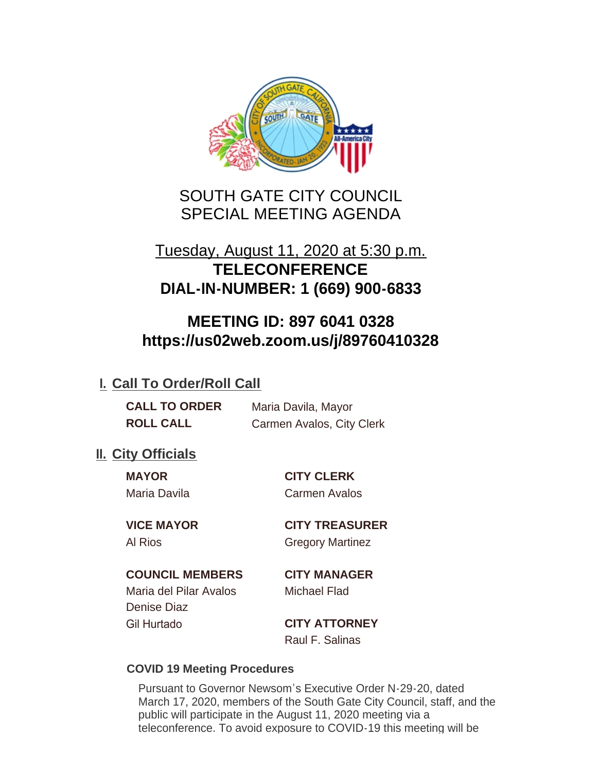

SOUTH GATE CITY COUNCIL SPECIAL MEETING AGENDA

## Tuesday, August 11, 2020 at 5:30 p.m. **TELECONFERENCE DIAL-IN-NUMBER: 1 (669) 900-6833**

## **MEETING ID: 897 6041 0328 https://us02web.zoom.us/j/89760410328**

## **I. Call To Order/Roll Call**

| <b>CALL TO ORDER</b> | Maria Davila, Mayor       |
|----------------------|---------------------------|
| <b>ROLL CALL</b>     | Carmen Avalos, City Clerk |

## **II.** City Officials

**MAYOR CITY CLERK** Maria Davila Carmen Avalos

**VICE MAYOR CITY TREASURER** Al Rios **Gregory Martinez** 

**COUNCIL MEMBERS CITY MANAGER**

Maria del Pilar Avalos Michael Flad Denise Diaz Gil Hurtado **CITY ATTORNEY**

Raul F. Salinas

### **COVID 19 Meeting Procedures**

Pursuant to Governor Newsom's Executive Order N-29-20, dated March 17, 2020, members of the South Gate City Council, staff, and the public will participate in the August 11, 2020 meeting via a teleconference. To avoid exposure to COVID-19 this meeting will be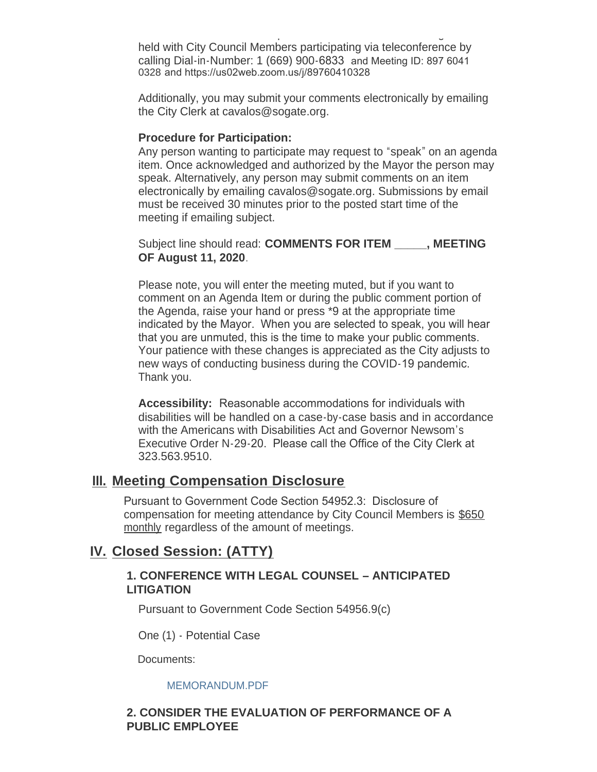teleconference. To avoid exposure to  $C$ held with City Council Members participating via teleconference by calling Dial-in-Number: 1 (669) 900-6833 and Meeting ID: 897 6041 0328 and https://us02web.zoom.us/j/89760410328

Additionally, you may submit your comments electronically by emailing the City Clerk at cavalos@sogate.org.

#### **Procedure for Participation:**

Any person wanting to participate may request to "speak" on an agenda item. Once acknowledged and authorized by the Mayor the person may speak. Alternatively, any person may submit comments on an item electronically by emailing cavalos@sogate.org. Submissions by email must be received 30 minutes prior to the posted start time of the meeting if emailing subject.

Subject line should read: **COMMENTS FOR ITEM \_\_\_\_\_, MEETING OF August 11, 2020**.

Please note, you will enter the meeting muted, but if you want to comment on an Agenda Item or during the public comment portion of the Agenda, raise your hand or press \*9 at the appropriate time indicated by the Mayor. When you are selected to speak, you will hear that you are unmuted, this is the time to make your public comments. Your patience with these changes is appreciated as the City adjusts to new ways of conducting business during the COVID-19 pandemic. Thank you.

**Accessibility:** Reasonable accommodations for individuals with disabilities will be handled on a case-by-case basis and in accordance with the Americans with Disabilities Act and Governor Newsom's Executive Order N-29-20. Please call the Office of the City Clerk at 323.563.9510.

#### **Meeting Compensation Disclosure III.**

Pursuant to Government Code Section 54952.3: Disclosure of compensation for meeting attendance by City Council Members is \$650 monthly regardless of the amount of meetings.

## **Closed Session: (ATTY) IV.**

#### **1. CONFERENCE WITH LEGAL COUNSEL – ANTICIPATED LITIGATION**

Pursuant to Government Code Section 54956.9(c)

One (1) - Potential Case

Documents:

#### MEMORANDUM.PDF

#### **2. CONSIDER THE EVALUATION OF PERFORMANCE OF A PUBLIC EMPLOYEE**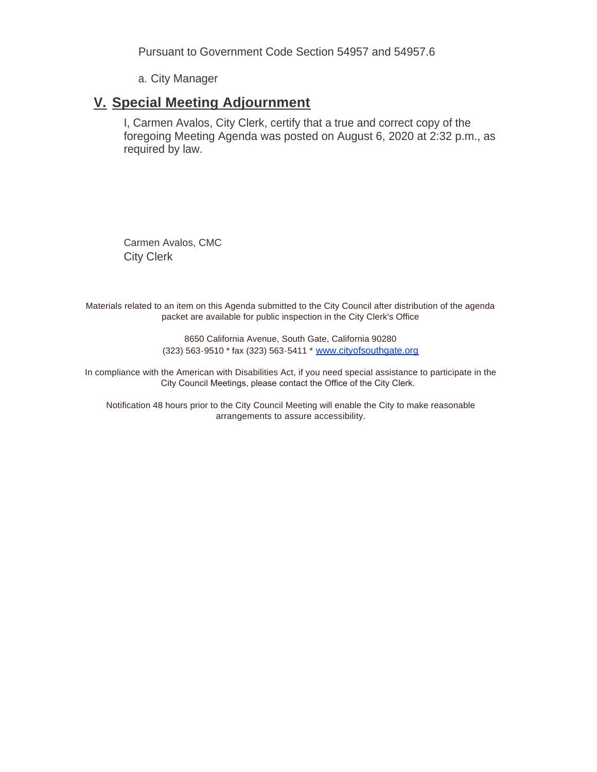Pursuant to Government Code Section 54957 and 54957.6

a. City Manager

### **Special Meeting Adjournment V.**

I, Carmen Avalos, City Clerk, certify that a true and correct copy of the foregoing Meeting Agenda was posted on August 6, 2020 at 2:32 p.m., as required by law.

Carmen Avalos, CMC City Clerk

Materials related to an item on this Agenda submitted to the City Council after distribution of the agenda packet are available for public inspection in the City Clerk's Office

> 8650 California Avenue, South Gate, California 90280 (323) 563-9510 \* fax (323) 563-5411 \* [www.cityofsouthgate.org](http://www.cityofsouthgate.org/)

In compliance with the American with Disabilities Act, if you need special assistance to participate in the City Council Meetings, please contact the Office of the City Clerk.

Notification 48 hours prior to the City Council Meeting will enable the City to make reasonable arrangements to assure accessibility.